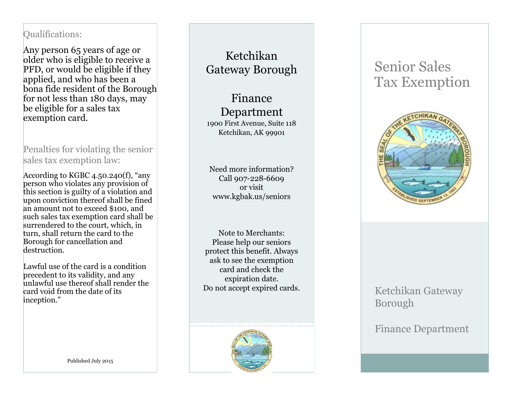### Qualifications :

Any person 65 years of age or older who is eligible to receive a PFD, or would be eligible if they applied, and who has been a bona fide resident of the Borough for not less than 180 days, may be eligible for a sales tax exemption card.

Penalties for violating the senior sales tax exemption law:

According to KGBC 4.50.240(f), "any person who violates any provision of this section is guilty of a violation and upon conviction thereof shall be fined an amount not to exceed \$100, and such sales tax exemption card shall be surrendered to the court, which, in turn, shall return the card to the Borough for cancellation and destruction.

Lawful use of the card is a condition precedent to its validity, and any unlawful use thereof shall render the card void from the date of its inception."

Ketchikan Gateway Borough

Finance Department 1900 First Avenue, Suite 118 Ketchikan, AK 99901

Need more information? Call 907 -228 -6609 or visit www.kgbak.us/seniors

Note to Merchants: Please help our seniors protect this benefit. Always ask to see the exemption card and check the expiration date. Do not accept expired cards.

# Senior Sales Tax Exemption



## Ketchikan Gateway Borough

Finance Department